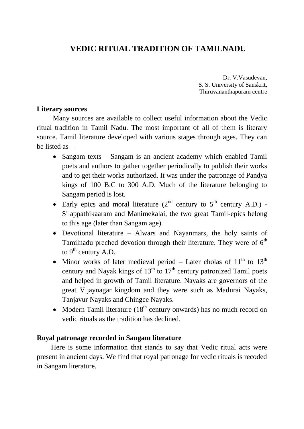# **VEDIC RITUAL TRADITION OF TAMILNADU**

Dr. V.Vasudevan, S. S. University of Sanskrit, Thiruvananthapuram centre

### **Literary sources**

 Many sources are available to collect useful information about the Vedic ritual tradition in Tamil Nadu. The most important of all of them is literary source. Tamil literature developed with various stages through ages. They can be listed as –

- Sangam texts Sangam is an ancient academy which enabled Tamil poets and authors to gather together periodically to publish their works and to get their works authorized. It was under the patronage of Pandya kings of 100 B.C to 300 A.D. Much of the literature belonging to Sangam period is lost.
- Early epics and moral literature  $(2^{nd}$  century to  $5^{th}$  century A.D.) -Silappathikaaram and Manimekalai, the two great Tamil-epics belong to this age (later than Sangam age).
- Devotional literature Alwars and Nayanmars, the holy saints of Tamilnadu preched devotion through their literature. They were of  $6<sup>th</sup>$ to  $9<sup>th</sup>$  century A.D.
- Minor works of later medieval period Later cholas of  $11<sup>th</sup>$  to  $13<sup>th</sup>$ century and Nayak kings of  $13<sup>th</sup>$  to  $17<sup>th</sup>$  century patronized Tamil poets and helped in growth of Tamil literature. Nayaks are governors of the great Vijaynagar kingdom and they were such as Madurai Nayaks, Tanjavur Nayaks and Chingee Nayaks.
- Modern Tamil literature  $(18<sup>th</sup>$  century onwards) has no much record on vedic rituals as the tradition has declined.

### **Royal patronage recorded in Sangam literature**

 Here is some information that stands to say that Vedic ritual acts were present in ancient days. We find that royal patronage for vedic rituals is recoded in Sangam literature.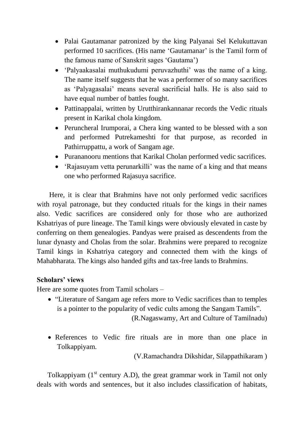- Palai Gautamanar patronized by the king Palyanai Sel Kelukuttavan performed 10 sacrifices. (His name "Gautamanar" is the Tamil form of the famous name of Sanskrit sages "Gautama")
- 'Palyaakasalai muthukudumi peruvazhuthi' was the name of a king. The name itself suggests that he was a performer of so many sacrifices as "Palyagasalai" means several sacrificial halls. He is also said to have equal number of battles fought.
- Pattinappalai, written by Urutthirankannanar records the Vedic rituals present in Karikal chola kingdom.
- Peruncheral Irumporai, a Chera king wanted to be blessed with a son and performed Putrekameshti for that purpose, as recorded in Pathirruppattu, a work of Sangam age.
- Purananooru mentions that Karikal Cholan performed vedic sacrifices.
- 'Rajasuyam vetta perunarkilli' was the name of a king and that means one who performed Rajasuya sacrifice.

 Here, it is clear that Brahmins have not only performed vedic sacrifices with royal patronage, but they conducted rituals for the kings in their names also. Vedic sacrifices are considered only for those who are authorized Kshatriyas of pure lineage. The Tamil kings were obviously elevated in caste by conferring on them genealogies. Pandyas were praised as descendents from the lunar dynasty and Cholas from the solar. Brahmins were prepared to recognize Tamil kings in Kshatriya category and connected them with the kings of Mahabharata. The kings also handed gifts and tax-free lands to Brahmins.

### **Scholars' views**

Here are some quotes from Tamil scholars –

• "Literature of Sangam age refers more to Vedic sacrifices than to temples is a pointer to the popularity of vedic cults among the Sangam Tamils".

(R.Nagaswamy, Art and Culture of Tamilnadu)

• References to Vedic fire rituals are in more than one place in Tolkappiyam.

(V.Ramachandra Dikshidar, Silappathikaram )

Tolkappiyam  $(1<sup>st</sup>$  century A.D), the great grammar work in Tamil not only deals with words and sentences, but it also includes classification of habitats,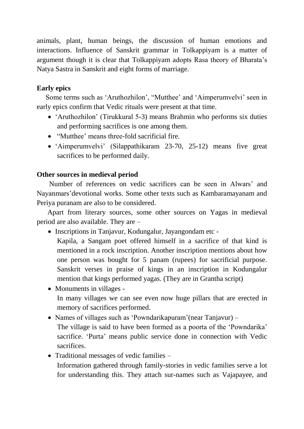animals, plant, human beings, the discussion of human emotions and interactions. Influence of Sanskrit grammar in Tolkappiyam is a matter of argument though it is clear that Tolkappiyam adopts Rasa theory of Bharata"s Natya Sastra in Sanskrit and eight forms of marriage.

## **Early epics**

 Some terms such as "Aruthozhilon", "Mutthee" and "Aimperumvelvi" seen in early epics confirm that Vedic rituals were present at that time.

- 'Aruthozhilon' (Tirukkural 5-3) means Brahmin who performs six duties and performing sacrifices is one among them.
- "Mutthee" means three-fold sacrificial fire.
- 'Aimperumvelvi' (Silappathikaram 23-70, 25-12) means five great sacrifices to be performed daily.

### **Other sources in medieval period**

Number of references on vedic sacrifices can be seen in Alwars" and Nayanmars"devotional works. Some other texts such as Kambaramayanam and Periya puranam are also to be considered.

Apart from literary sources, some other sources on Yagas in medieval period are also available. They are –

• Inscriptions in Tanjavur, Kodungalur, Jayangondam etc -

Kapila, a Sangam poet offered himself in a sacrifice of that kind is mentioned in a rock inscription. Another inscription mentions about how one person was bought for 5 panam (rupees) for sacrificial purpose. Sanskrit verses in praise of kings in an inscription in Kodungalur mention that kings performed yagas. (They are in Grantha script)

- Monuments in villages -In many villages we can see even now huge pillars that are erected in memory of sacrifices performed.
- Names of villages such as 'Powndarikapuram' (near Tanjavur) –

The village is said to have been formed as a poorta of the 'Powndarika' sacrifice. 'Purta' means public service done in connection with Vedic sacrifices.

• Traditional messages of vedic families –

Information gathered through family-stories in vedic families serve a lot for understanding this. They attach sur-names such as Vajapayee, and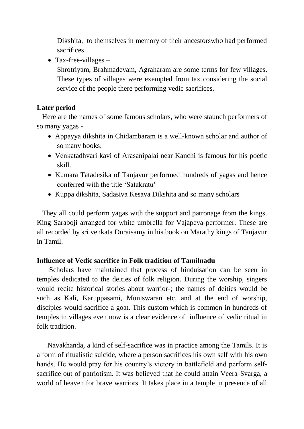Dikshita, to themselves in memory of their ancestorswho had performed sacrifices.

• Tax-free-villages  $-$ 

Shrotriyam, Brahmadeyam, Agraharam are some terms for few villages. These types of villages were exempted from tax considering the social service of the people there performing vedic sacrifices.

# **Later period**

 Here are the names of some famous scholars, who were staunch performers of so many yagas -

- Appayya dikshita in Chidambaram is a well-known scholar and author of so many books.
- Venkatadhvari kavi of Arasanipalai near Kanchi is famous for his poetic skill.
- Kumara Tatadesika of Tanjavur performed hundreds of yagas and hence conferred with the title "Satakratu"
- Kuppa dikshita, Sadasiva Kesava Dikshita and so many scholars

 They all could perform yagas with the support and patronage from the kings. King Saraboji arranged for white umbrella for Vajapeya-performer. These are all recorded by sri venkata Duraisamy in his book on Marathy kings of Tanjavur in Tamil.

# **Influence of Vedic sacrifice in Folk tradition of Tamilnadu**

 Scholars have maintained that process of hinduisation can be seen in temples dedicated to the deities of folk religion. During the worship, singers would recite historical stories about warrior-; the names of deities would be such as Kali, Karuppasami, Muniswaran etc. and at the end of worship, disciples would sacrifice a goat. This custom which is common in hundreds of temples in villages even now is a clear evidence of influence of vedic ritual in folk tradition.

 Navakhanda, a kind of self-sacrifice was in practice among the Tamils. It is a form of ritualistic suicide, where a person sacrifices his own self with his own hands. He would pray for his country's victory in battlefield and perform selfsacrifice out of patriotism. It was believed that he could attain Veera-Svarga, a world of heaven for brave warriors. It takes place in a temple in presence of all